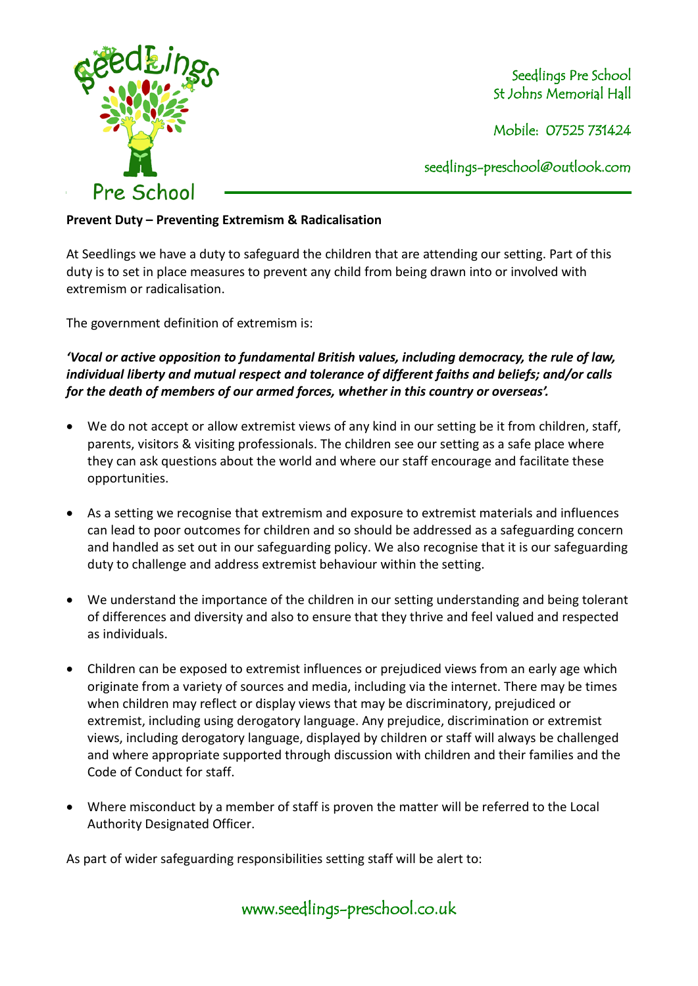

Seedlings Pre School St Johns Memorial Hall

Mobile: 07525 731424

seedlings[-preschool@outlook.com](mailto:preschool@outlook.com)

## **Prevent Duty – Preventing Extremism & Radicalisation**

At Seedlings we have a duty to safeguard the children that are attending our setting. Part of this duty is to set in place measures to prevent any child from being drawn into or involved with extremism or radicalisation.

The government definition of extremism is:

*'Vocal or active opposition to fundamental British values, including democracy, the rule of law, individual liberty and mutual respect and tolerance of different faiths and beliefs; and/or calls for the death of members of our armed forces, whether in this country or overseas'.*

- We do not accept or allow extremist views of any kind in our setting be it from children, staff, parents, visitors & visiting professionals. The children see our setting as a safe place where they can ask questions about the world and where our staff encourage and facilitate these opportunities.
- As a setting we recognise that extremism and exposure to extremist materials and influences can lead to poor outcomes for children and so should be addressed as a safeguarding concern and handled as set out in our safeguarding policy. We also recognise that it is our safeguarding duty to challenge and address extremist behaviour within the setting.
- We understand the importance of the children in our setting understanding and being tolerant of differences and diversity and also to ensure that they thrive and feel valued and respected as individuals.
- Children can be exposed to extremist influences or prejudiced views from an early age which originate from a variety of sources and media, including via the internet. There may be times when children may reflect or display views that may be discriminatory, prejudiced or extremist, including using derogatory language. Any prejudice, discrimination or extremist views, including derogatory language, displayed by children or staff will always be challenged and where appropriate supported through discussion with children and their families and the Code of Conduct for staff.
- Where misconduct by a member of staff is proven the matter will be referred to the Local Authority Designated Officer.

As part of wider safeguarding responsibilities setting staff will be alert to: